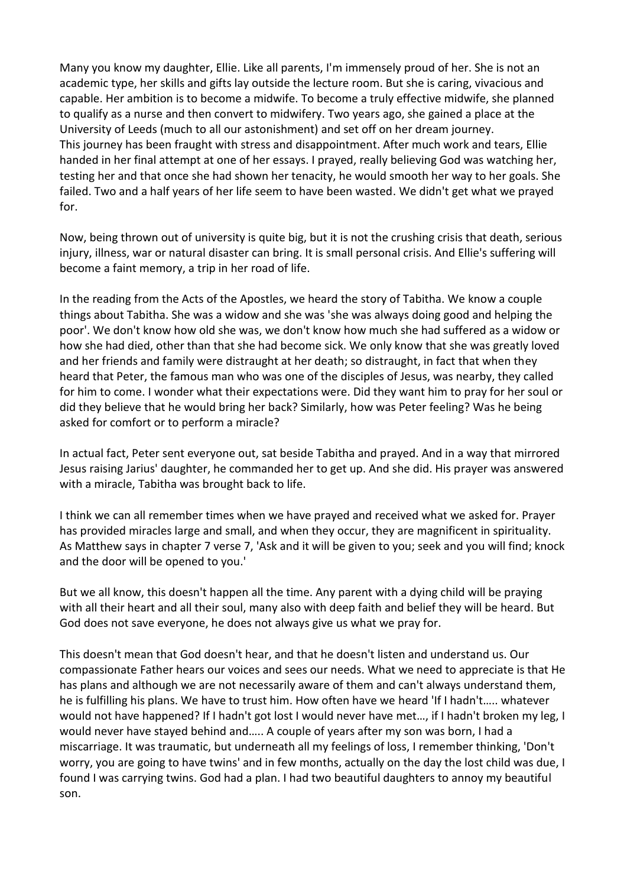Many you know my daughter, Ellie. Like all parents, I'm immensely proud of her. She is not an academic type, her skills and gifts lay outside the lecture room. But she is caring, vivacious and capable. Her ambition is to become a midwife. To become a truly effective midwife, she planned to qualify as a nurse and then convert to midwifery. Two years ago, she gained a place at the University of Leeds (much to all our astonishment) and set off on her dream journey. This journey has been fraught with stress and disappointment. After much work and tears, Ellie handed in her final attempt at one of her essays. I prayed, really believing God was watching her, testing her and that once she had shown her tenacity, he would smooth her way to her goals. She failed. Two and a half years of her life seem to have been wasted. We didn't get what we prayed for.

Now, being thrown out of university is quite big, but it is not the crushing crisis that death, serious injury, illness, war or natural disaster can bring. It is small personal crisis. And Ellie's suffering will become a faint memory, a trip in her road of life.

In the reading from the Acts of the Apostles, we heard the story of Tabitha. We know a couple things about Tabitha. She was a widow and she was 'she was always doing good and helping the poor'. We don't know how old she was, we don't know how much she had suffered as a widow or how she had died, other than that she had become sick. We only know that she was greatly loved and her friends and family were distraught at her death; so distraught, in fact that when they heard that Peter, the famous man who was one of the disciples of Jesus, was nearby, they called for him to come. I wonder what their expectations were. Did they want him to pray for her soul or did they believe that he would bring her back? Similarly, how was Peter feeling? Was he being asked for comfort or to perform a miracle?

In actual fact, Peter sent everyone out, sat beside Tabitha and prayed. And in a way that mirrored Jesus raising Jarius' daughter, he commanded her to get up. And she did. His prayer was answered with a miracle, Tabitha was brought back to life.

I think we can all remember times when we have prayed and received what we asked for. Prayer has provided miracles large and small, and when they occur, they are magnificent in spirituality. As Matthew says in chapter 7 verse 7, 'Ask and it will be given to you; seek and you will find; knock and the door will be opened to you.'

But we all know, this doesn't happen all the time. Any parent with a dying child will be praying with all their heart and all their soul, many also with deep faith and belief they will be heard. But God does not save everyone, he does not always give us what we pray for.

This doesn't mean that God doesn't hear, and that he doesn't listen and understand us. Our compassionate Father hears our voices and sees our needs. What we need to appreciate is that He has plans and although we are not necessarily aware of them and can't always understand them, he is fulfilling his plans. We have to trust him. How often have we heard 'If I hadn't….. whatever would not have happened? If I hadn't got lost I would never have met…, if I hadn't broken my leg, I would never have stayed behind and….. A couple of years after my son was born, I had a miscarriage. It was traumatic, but underneath all my feelings of loss, I remember thinking, 'Don't worry, you are going to have twins' and in few months, actually on the day the lost child was due, I found I was carrying twins. God had a plan. I had two beautiful daughters to annoy my beautiful son.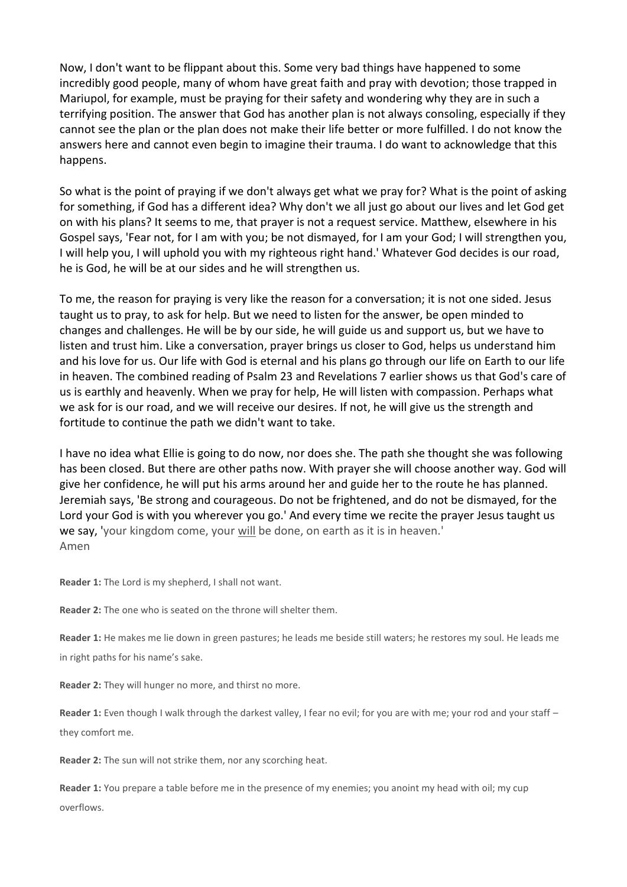Now, I don't want to be flippant about this. Some very bad things have happened to some incredibly good people, many of whom have great faith and pray with devotion; those trapped in Mariupol, for example, must be praying for their safety and wondering why they are in such a terrifying position. The answer that God has another plan is not always consoling, especially if they cannot see the plan or the plan does not make their life better or more fulfilled. I do not know the answers here and cannot even begin to imagine their trauma. I do want to acknowledge that this happens.

So what is the point of praying if we don't always get what we pray for? What is the point of asking for something, if God has a different idea? Why don't we all just go about our lives and let God get on with his plans? It seems to me, that prayer is not a request service. Matthew, elsewhere in his Gospel says, 'Fear not, for I am with you; be not dismayed, for I am your God; I will strengthen you, I will help you, I will uphold you with my righteous right hand.' Whatever God decides is our road, he is God, he will be at our sides and he will strengthen us.

To me, the reason for praying is very like the reason for a conversation; it is not one sided. Jesus taught us to pray, to ask for help. But we need to listen for the answer, be open minded to changes and challenges. He will be by our side, he will guide us and support us, but we have to listen and trust him. Like a conversation, prayer brings us closer to God, helps us understand him and his love for us. Our life with God is eternal and his plans go through our life on Earth to our life in heaven. The combined reading of Psalm 23 and Revelations 7 earlier shows us that God's care of us is earthly and heavenly. When we pray for help, He will listen with compassion. Perhaps what we ask for is our road, and we will receive our desires. If not, he will give us the strength and fortitude to continue the path we didn't want to take.

I have no idea what Ellie is going to do now, nor does she. The path she thought she was following has been closed. But there are other paths now. With prayer she will choose another way. God will give her confidence, he will put his arms around her and guide her to the route he has planned. Jeremiah says, 'Be strong and courageous. Do not be frightened, and do not be dismayed, for the Lord your God is with you wherever you go.' And every time we recite the prayer Jesus taught us we say, 'your kingdom come, your will be done, on earth as it is in heaven.' Amen

**Reader 1:** The Lord is my shepherd, I shall not want.

**Reader 2:** The one who is seated on the throne will shelter them.

**Reader 1:** He makes me lie down in green pastures; he leads me beside still waters; he restores my soul. He leads me in right paths for his name's sake.

**Reader 2:** They will hunger no more, and thirst no more.

**Reader 1:** Even though I walk through the darkest valley, I fear no evil; for you are with me; your rod and your staff – they comfort me.

**Reader 2:** The sun will not strike them, nor any scorching heat.

**Reader 1:** You prepare a table before me in the presence of my enemies; you anoint my head with oil; my cup overflows.